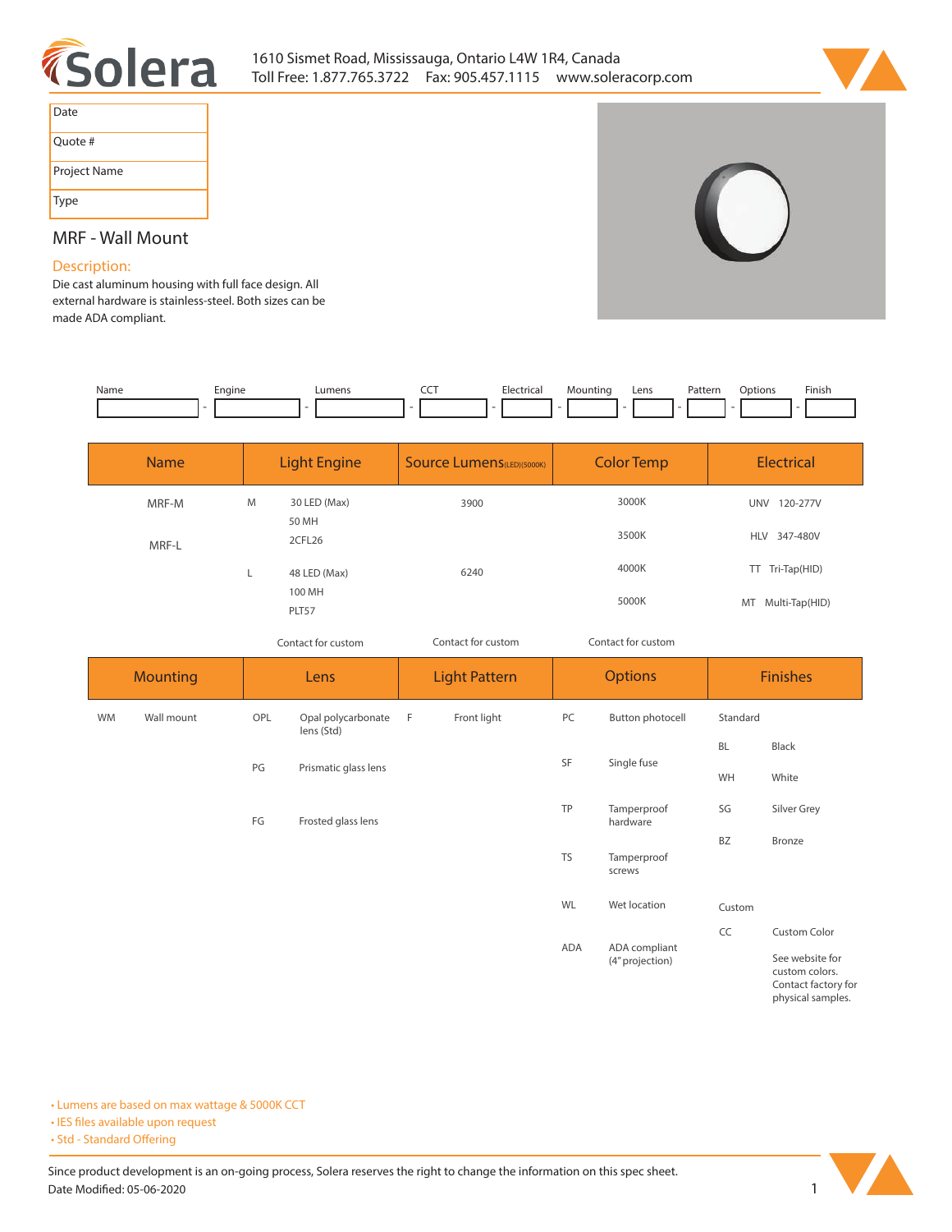



| Date         |
|--------------|
| Quote #      |
| Project Name |
| Type         |

# **MRF - Wall Mount**

# **Description:**

**Die cast aluminum housing with full face design. All external hardware is stainless-steel. Both sizes can be made ADA compliant.** 

| Name | Enaine<br>__ | ∟umens | Electrical | Mountinc | Lens | <sup>9</sup> atterr<br>. | tion | Finisi. |
|------|--------------|--------|------------|----------|------|--------------------------|------|---------|
|      |              |        |            |          |      |                          |      |         |

| <b>Name</b> | <b>Light Engine</b> |                       | <b>Source Lumens (LED)(5000K)</b> | <b>Color Temp</b> | <b>Electrical</b> |  |
|-------------|---------------------|-----------------------|-----------------------------------|-------------------|-------------------|--|
| MRF-M       | M                   | 30 LED (Max)<br>50 MH | 3000K<br>3900                     |                   | 120-277V<br>UNV   |  |
| MRF-L       |                     | 2CFL26                |                                   | 3500K             | HLV 347-480V      |  |
|             |                     | 48 LED (Max)          | 6240                              | 4000K             | TT Tri-Tap(HID)   |  |
|             |                     | 100 MH<br>PLT57       |                                   | 5000K             | MT Multi-Tap(HID) |  |

*Contact for custom*

*Contact for custom Contact for custom*

| <b>Mounting</b> |            | Lens |                                  | <b>Light Pattern</b> |             | <b>Options</b>                     |                                  | <b>Finishes</b> |                                                                  |  |
|-----------------|------------|------|----------------------------------|----------------------|-------------|------------------------------------|----------------------------------|-----------------|------------------------------------------------------------------|--|
| <b>WM</b>       | Wall mount | OPL  | Opal polycarbonate<br>lens (Std) | - F                  | Front light | PC                                 | Button photocell                 | Standard        |                                                                  |  |
|                 |            |      |                                  |                      |             |                                    | Single fuse                      | <b>BL</b>       | Black                                                            |  |
|                 |            | PG   | Prismatic glass lens             |                      |             | SF                                 |                                  | WH              | White                                                            |  |
|                 |            | FG   | Frosted glass lens               |                      |             | TP                                 | Tamperproof<br>hardware          | SG              | Silver Grey                                                      |  |
|                 |            |      |                                  |                      |             |                                    |                                  | <b>BZ</b>       | Bronze                                                           |  |
|                 |            |      |                                  |                      |             | <b>TS</b><br>Tamperproof<br>screws |                                  |                 |                                                                  |  |
|                 |            |      |                                  |                      |             | WL                                 | Wet location                     | Custom          |                                                                  |  |
|                 |            |      |                                  |                      |             |                                    |                                  | CC              | <b>Custom Color</b>                                              |  |
|                 |            |      |                                  |                      |             | ADA                                | ADA compliant<br>(4" projection) |                 | See website for<br>custom colors.<br>$\sim$ $\sim$ $\sim$ $\sim$ |  |

**Contact factory for physical samples.** 

**• Lumens are based on max wattage & 5000K CCT**

**• IES files available upon request** 

• Std - Standard Offering

Since product development is an on-going process, Solera reserves the right to change the information on this spec sheet. **Date Modified: 05-06-2020** 1